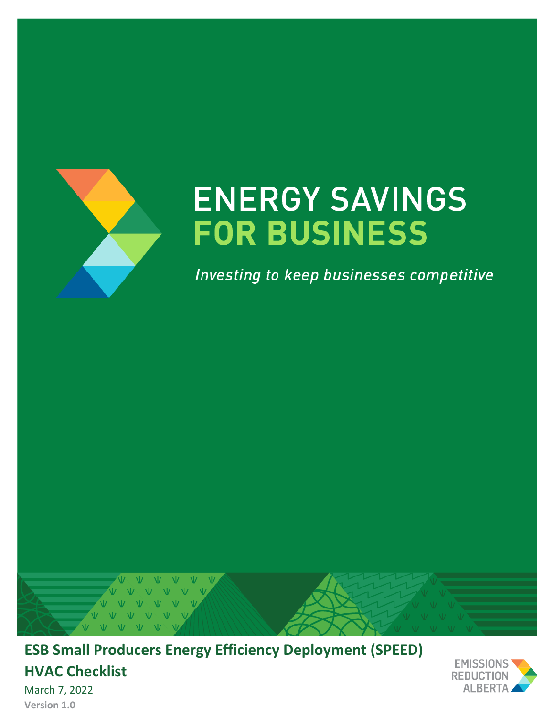

# **ENERGY SAVINGS FOR BUSINESS**

Investing to keep businesses competitive



**ESB Small Producers Energy Efficiency Deployment (SPEED) HVAC Checklist**



March 7, 2022 **Version 1.0**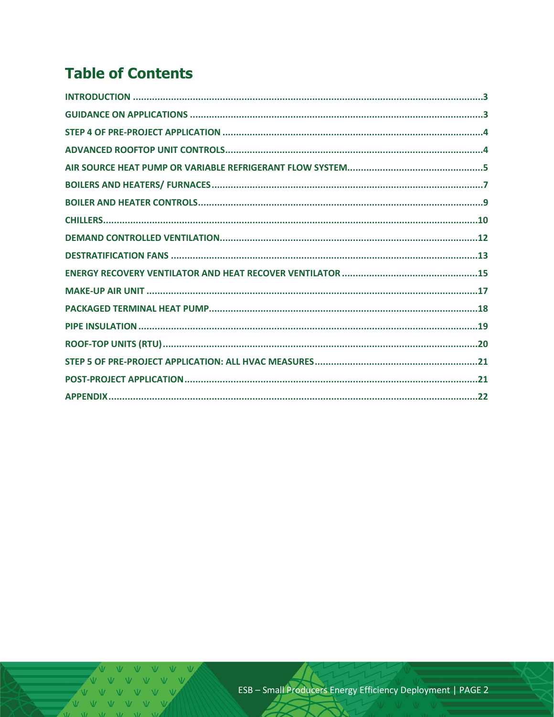## **Table of Contents**

 $V \quad \dot{V} \quad \dot{V}$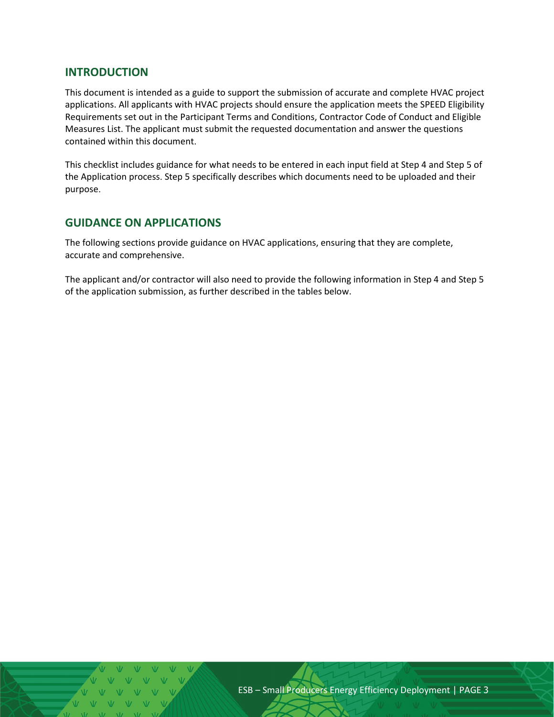#### <span id="page-2-0"></span>**INTRODUCTION**

This document is intended as a guide to support the submission of accurate and complete HVAC project applications. All applicants with HVAC projects should ensure the application meets the SPEED Eligibility Requirements set out in the Participant Terms and Conditions, Contractor Code of Conduct and Eligible Measures List. The applicant must submit the requested documentation and answer the questions contained within this document.

This checklist includes guidance for what needs to be entered in each input field at Step 4 and Step 5 of the Application process. Step 5 specifically describes which documents need to be uploaded and their purpose.

## <span id="page-2-1"></span>**GUIDANCE ON APPLICATIONS**

The following sections provide guidance on HVAC applications, ensuring that they are complete, accurate and comprehensive.

The applicant and/or contractor will also need to provide the following information in Step 4 and Step 5 of the application submission, as further described in the tables below.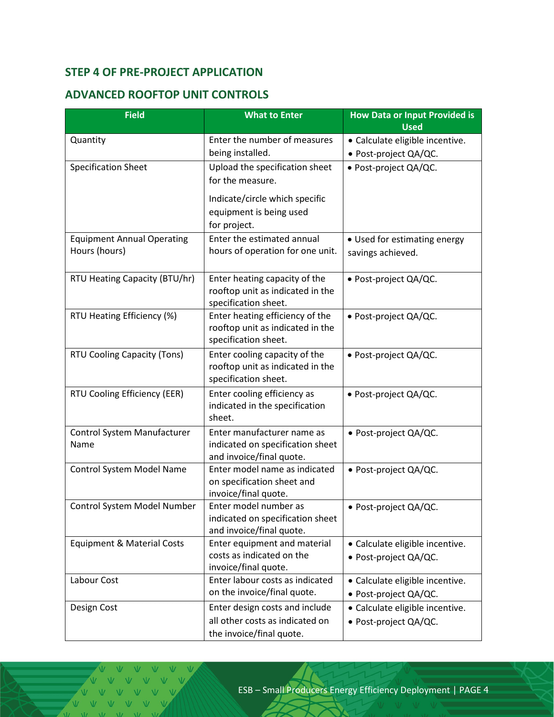## <span id="page-3-0"></span>**STEP 4 OF PRE-PROJECT APPLICATION**

## <span id="page-3-1"></span>**ADVANCED ROOFTOP UNIT CONTROLS**

| <b>Field</b>                                       | <b>What to Enter</b>                                                                          | <b>How Data or Input Provided is</b><br><b>Used</b>      |
|----------------------------------------------------|-----------------------------------------------------------------------------------------------|----------------------------------------------------------|
| Quantity                                           | Enter the number of measures<br>being installed.                                              | · Calculate eligible incentive.<br>· Post-project QA/QC. |
| <b>Specification Sheet</b>                         | Upload the specification sheet<br>for the measure.                                            | · Post-project QA/QC.                                    |
|                                                    | Indicate/circle which specific<br>equipment is being used<br>for project.                     |                                                          |
| <b>Equipment Annual Operating</b><br>Hours (hours) | Enter the estimated annual<br>hours of operation for one unit.                                | • Used for estimating energy<br>savings achieved.        |
| RTU Heating Capacity (BTU/hr)                      | Enter heating capacity of the<br>rooftop unit as indicated in the<br>specification sheet.     | · Post-project QA/QC.                                    |
| RTU Heating Efficiency (%)                         | Enter heating efficiency of the<br>rooftop unit as indicated in the<br>specification sheet.   | · Post-project QA/QC.                                    |
| RTU Cooling Capacity (Tons)                        | Enter cooling capacity of the<br>rooftop unit as indicated in the<br>specification sheet.     | · Post-project QA/QC.                                    |
| RTU Cooling Efficiency (EER)                       | Enter cooling efficiency as<br>indicated in the specification<br>sheet.                       | · Post-project QA/QC.                                    |
| Control System Manufacturer<br>Name                | Enter manufacturer name as<br>indicated on specification sheet<br>and invoice/final quote.    | · Post-project QA/QC.                                    |
| Control System Model Name                          | Enter model name as indicated<br>on specification sheet and<br>invoice/final quote.           | · Post-project QA/QC.                                    |
| Control System Model Number                        | Enter model number as<br>indicated on specification sheet<br>and invoice/final quote.         | • Post-project QA/QC.                                    |
| <b>Equipment &amp; Material Costs</b>              | Enter equipment and material<br>costs as indicated on the<br>invoice/final quote.             | · Calculate eligible incentive.<br>· Post-project QA/QC. |
| Labour Cost                                        | Enter labour costs as indicated<br>on the invoice/final quote.                                | • Calculate eligible incentive.<br>· Post-project QA/QC. |
| Design Cost                                        | Enter design costs and include<br>all other costs as indicated on<br>the invoice/final quote. | · Calculate eligible incentive.<br>· Post-project QA/QC. |

V V V V V V VVVVV  $V \dot{V}$   $V$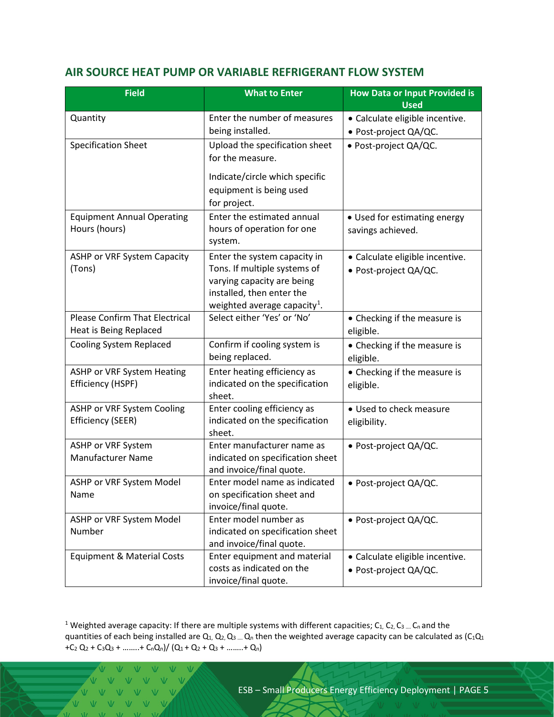#### <span id="page-4-0"></span>**AIR SOURCE HEAT PUMP OR VARIABLE REFRIGERANT FLOW SYSTEM**

| <b>Field</b>                                                    | <b>What to Enter</b>                                         | <b>How Data or Input Provided is</b><br><b>Used</b> |
|-----------------------------------------------------------------|--------------------------------------------------------------|-----------------------------------------------------|
| Quantity                                                        | Enter the number of measures                                 | · Calculate eligible incentive.                     |
| <b>Specification Sheet</b>                                      | being installed.<br>Upload the specification sheet           | · Post-project QA/QC.<br>· Post-project QA/QC.      |
|                                                                 | for the measure.                                             |                                                     |
|                                                                 | Indicate/circle which specific<br>equipment is being used    |                                                     |
|                                                                 | for project.<br>Enter the estimated annual                   |                                                     |
| <b>Equipment Annual Operating</b><br>Hours (hours)              | hours of operation for one                                   | • Used for estimating energy                        |
|                                                                 | system.                                                      | savings achieved.                                   |
| ASHP or VRF System Capacity<br>(Tons)                           | Enter the system capacity in<br>Tons. If multiple systems of | · Calculate eligible incentive.                     |
|                                                                 | varying capacity are being                                   | · Post-project QA/QC.                               |
|                                                                 | installed, then enter the                                    |                                                     |
|                                                                 | weighted average capacity <sup>1</sup> .                     |                                                     |
| <b>Please Confirm That Electrical</b><br>Heat is Being Replaced | Select either 'Yes' or 'No'                                  | • Checking if the measure is<br>eligible.           |
| <b>Cooling System Replaced</b>                                  | Confirm if cooling system is                                 | • Checking if the measure is                        |
|                                                                 | being replaced.                                              | eligible.                                           |
| ASHP or VRF System Heating                                      | Enter heating efficiency as                                  | • Checking if the measure is                        |
| Efficiency (HSPF)                                               | indicated on the specification<br>sheet.                     | eligible.                                           |
| ASHP or VRF System Cooling                                      | Enter cooling efficiency as                                  | • Used to check measure                             |
| <b>Efficiency (SEER)</b>                                        | indicated on the specification<br>sheet.                     | eligibility.                                        |
| ASHP or VRF System<br><b>Manufacturer Name</b>                  | Enter manufacturer name as                                   | · Post-project QA/QC.                               |
|                                                                 | indicated on specification sheet<br>and invoice/final quote. |                                                     |
| ASHP or VRF System Model                                        | Enter model name as indicated                                | • Post-project QA/QC.                               |
| Name                                                            | on specification sheet and<br>invoice/final quote.           |                                                     |
| ASHP or VRF System Model                                        | Enter model number as                                        | · Post-project QA/QC.                               |
| Number                                                          | indicated on specification sheet<br>and invoice/final quote. |                                                     |
| <b>Equipment &amp; Material Costs</b>                           | Enter equipment and material                                 | · Calculate eligible incentive.                     |
|                                                                 | costs as indicated on the<br>invoice/final quote.            | · Post-project QA/QC.                               |

<span id="page-4-1"></span><sup>1</sup> Weighted average capacity: If there are multiple systems with different capacities;  $C_1$ ,  $C_2$ ,  $C_3$  ....  $C_n$  and the quantities of each being installed are  $Q_1$ ,  $Q_2$ ,  $Q_3$  ....  $Q_n$  then the weighted average capacity can be calculated as  $(C_1Q_1)$ +C<sub>2</sub> Q<sub>2</sub> + C<sub>3</sub>Q<sub>3</sub> + ……..+ C<sub>n</sub>Q<sub>n</sub>)/ (Q<sub>1</sub> + Q<sub>2</sub> + Q<sub>3</sub> + ……..+ Q<sub>n</sub>)

VVVV V V V V V  $\overline{u}$  $V \dot{V}$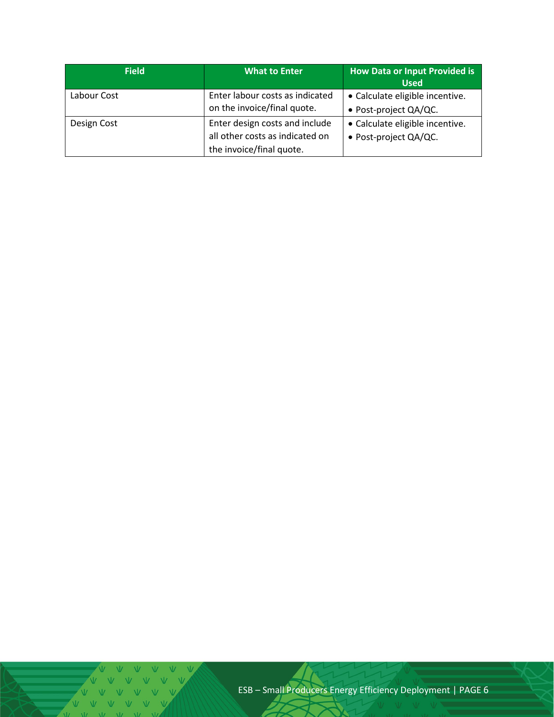| <b>Field</b> | What to Enter                                                                                 | How Data or Input Provided is<br><b>Used</b>             |
|--------------|-----------------------------------------------------------------------------------------------|----------------------------------------------------------|
| Labour Cost  | Enter labour costs as indicated<br>on the invoice/final quote.                                | • Calculate eligible incentive.<br>• Post-project QA/QC. |
| Design Cost  | Enter design costs and include<br>all other costs as indicated on<br>the invoice/final quote. | • Calculate eligible incentive.<br>· Post-project QA/QC. |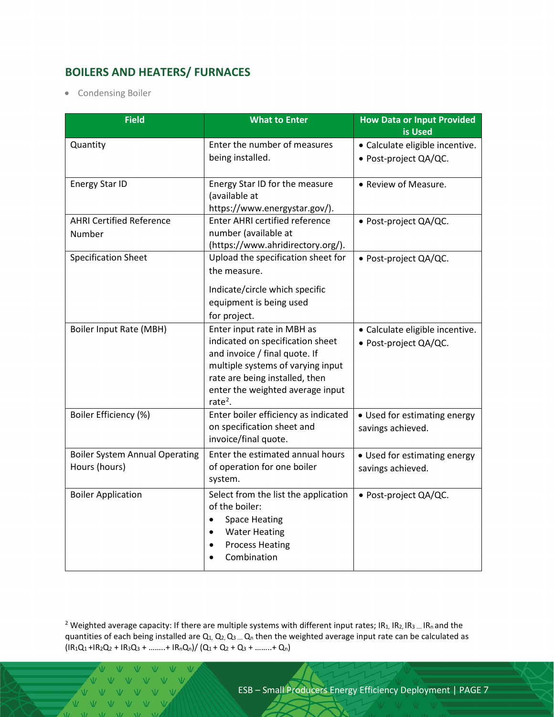## <span id="page-6-0"></span>**BOILERS AND HEATERS/ FURNACES**

• Condensing Boiler

| <b>Field</b>                                           | <b>What to Enter</b>                                                                                                                                                                                                              | <b>How Data or Input Provided</b><br>is Used             |
|--------------------------------------------------------|-----------------------------------------------------------------------------------------------------------------------------------------------------------------------------------------------------------------------------------|----------------------------------------------------------|
| Quantity                                               | Enter the number of measures<br>being installed.                                                                                                                                                                                  | · Calculate eligible incentive.<br>· Post-project QA/QC. |
| Energy Star ID                                         | Energy Star ID for the measure<br>(available at<br>https://www.energystar.gov/).                                                                                                                                                  | • Review of Measure.                                     |
| <b>AHRI Certified Reference</b><br>Number              | <b>Enter AHRI certified reference</b><br>number (available at<br>(https://www.ahridirectory.org/).                                                                                                                                | · Post-project QA/QC.                                    |
| <b>Specification Sheet</b>                             | Upload the specification sheet for<br>the measure.                                                                                                                                                                                | • Post-project QA/QC.                                    |
|                                                        | Indicate/circle which specific<br>equipment is being used<br>for project.                                                                                                                                                         |                                                          |
| <b>Boiler Input Rate (MBH)</b>                         | Enter input rate in MBH as<br>indicated on specification sheet<br>and invoice / final quote. If<br>multiple systems of varying input<br>rate are being installed, then<br>enter the weighted average input<br>rate <sup>2</sup> . | · Calculate eligible incentive.<br>· Post-project QA/QC. |
| Boiler Efficiency (%)                                  | Enter boiler efficiency as indicated<br>on specification sheet and<br>invoice/final quote.                                                                                                                                        | • Used for estimating energy<br>savings achieved.        |
| <b>Boiler System Annual Operating</b><br>Hours (hours) | Enter the estimated annual hours<br>of operation for one boiler<br>system.                                                                                                                                                        | • Used for estimating energy<br>savings achieved.        |
| <b>Boiler Application</b>                              | Select from the list the application<br>of the boiler:<br><b>Space Heating</b><br><b>Water Heating</b><br>$\bullet$<br><b>Process Heating</b><br>$\bullet$<br>Combination                                                         | · Post-project QA/QC.                                    |

<span id="page-6-1"></span><sup>2</sup> Weighted average capacity: If there are multiple systems with different input rates; IR<sub>1</sub>, IR<sub>2</sub>, IR<sub>3</sub> .... IR<sub>n</sub> and the quantities of each being installed are  $Q_1$ ,  $Q_2$ ,  $Q_3$  ....  $Q_n$  then the weighted average input rate can be calculated as  $\left(\frac{IR_1Q_1 + IR_2Q_2 + IR_3Q_3 + \dots + IR_nQ_n}{Q_1 + Q_2 + Q_3 + \dots + Q_n}\right)$ 

V V V V  $V = V - V - V$  $\overline{U}$  $V \dot{V}$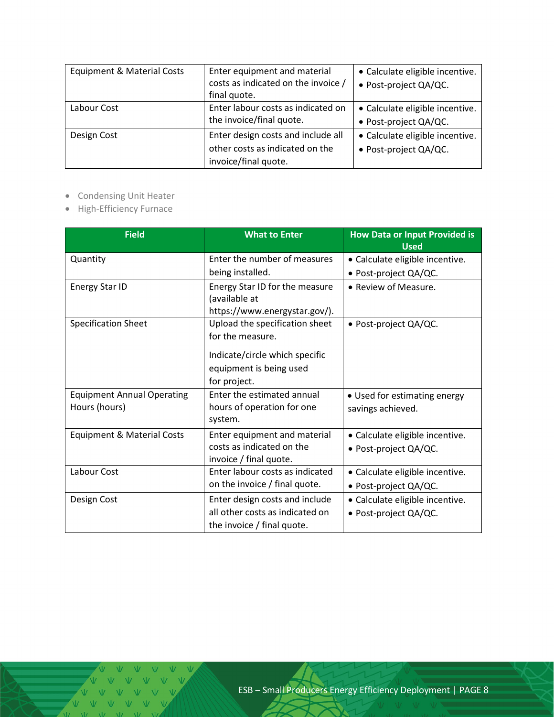| <b>Equipment &amp; Material Costs</b> | Enter equipment and material<br>costs as indicated on the invoice /<br>final quote.           | • Calculate eligible incentive.<br>· Post-project QA/QC. |
|---------------------------------------|-----------------------------------------------------------------------------------------------|----------------------------------------------------------|
| Labour Cost                           | Enter labour costs as indicated on<br>the invoice/final quote.                                | • Calculate eligible incentive.<br>· Post-project QA/QC. |
| Design Cost                           | Enter design costs and include all<br>other costs as indicated on the<br>invoice/final quote. | • Calculate eligible incentive.<br>• Post-project QA/QC. |

- Condensing Unit Heater
- High-Efficiency Furnace

| <b>Field</b>                                       | <b>What to Enter</b>                                                                                                            | <b>How Data or Input Provided is</b><br><b>Used</b>      |
|----------------------------------------------------|---------------------------------------------------------------------------------------------------------------------------------|----------------------------------------------------------|
| Quantity                                           | Enter the number of measures<br>being installed.                                                                                | · Calculate eligible incentive.<br>· Post-project QA/QC. |
| <b>Energy Star ID</b>                              | Energy Star ID for the measure<br>(available at<br>https://www.energystar.gov/).                                                | • Review of Measure.                                     |
| <b>Specification Sheet</b>                         | Upload the specification sheet<br>for the measure.<br>Indicate/circle which specific<br>equipment is being used<br>for project. | · Post-project QA/QC.                                    |
| <b>Equipment Annual Operating</b><br>Hours (hours) | Enter the estimated annual<br>hours of operation for one<br>system.                                                             | • Used for estimating energy<br>savings achieved.        |
| <b>Equipment &amp; Material Costs</b>              | Enter equipment and material<br>costs as indicated on the<br>invoice / final quote.                                             | · Calculate eligible incentive.<br>• Post-project QA/QC. |
| Labour Cost                                        | Enter labour costs as indicated<br>on the invoice / final quote.                                                                | • Calculate eligible incentive.<br>· Post-project QA/QC. |
| Design Cost                                        | Enter design costs and include<br>all other costs as indicated on<br>the invoice / final quote.                                 | • Calculate eligible incentive.<br>• Post-project QA/QC. |

 $M = M$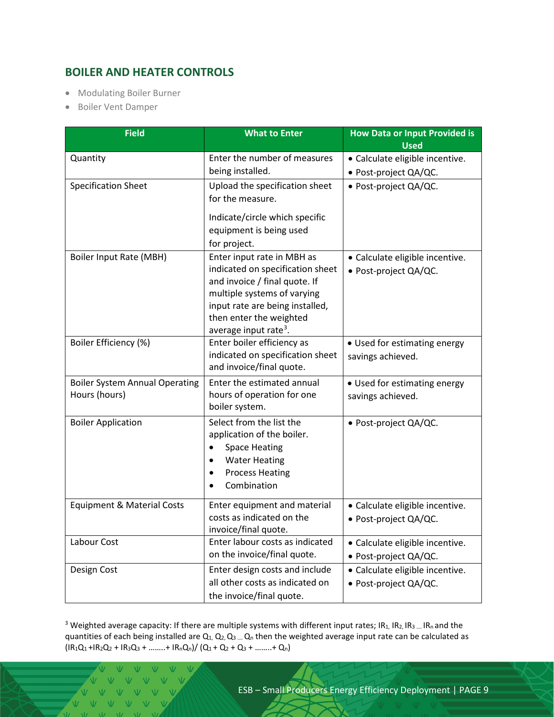## <span id="page-8-0"></span>**BOILER AND HEATER CONTROLS**

- Modulating Boiler Burner
- Boiler Vent Damper

| <b>Field</b>                                           | <b>What to Enter</b>                                                                                                                                                                                                                              | <b>How Data or Input Provided is</b><br><b>Used</b>      |
|--------------------------------------------------------|---------------------------------------------------------------------------------------------------------------------------------------------------------------------------------------------------------------------------------------------------|----------------------------------------------------------|
| Quantity                                               | Enter the number of measures<br>being installed.                                                                                                                                                                                                  | · Calculate eligible incentive.<br>· Post-project QA/QC. |
| <b>Specification Sheet</b>                             | Upload the specification sheet<br>for the measure.<br>Indicate/circle which specific<br>equipment is being used                                                                                                                                   | · Post-project QA/QC.                                    |
| <b>Boiler Input Rate (MBH)</b>                         | for project.<br>Enter input rate in MBH as<br>indicated on specification sheet<br>and invoice / final quote. If<br>multiple systems of varying<br>input rate are being installed,<br>then enter the weighted<br>average input rate <sup>3</sup> . | • Calculate eligible incentive.<br>· Post-project QA/QC. |
| Boiler Efficiency (%)                                  | Enter boiler efficiency as<br>indicated on specification sheet<br>and invoice/final quote.                                                                                                                                                        | • Used for estimating energy<br>savings achieved.        |
| <b>Boiler System Annual Operating</b><br>Hours (hours) | Enter the estimated annual<br>hours of operation for one<br>boiler system.                                                                                                                                                                        | • Used for estimating energy<br>savings achieved.        |
| <b>Boiler Application</b>                              | Select from the list the<br>application of the boiler.<br><b>Space Heating</b><br>$\bullet$<br><b>Water Heating</b><br><b>Process Heating</b><br>٠<br>Combination                                                                                 | · Post-project QA/QC.                                    |
| <b>Equipment &amp; Material Costs</b>                  | Enter equipment and material<br>costs as indicated on the<br>invoice/final quote.                                                                                                                                                                 | · Calculate eligible incentive.<br>· Post-project QA/QC. |
| Labour Cost                                            | Enter labour costs as indicated<br>on the invoice/final quote.                                                                                                                                                                                    | • Calculate eligible incentive.<br>· Post-project QA/QC. |
| Design Cost                                            | Enter design costs and include<br>all other costs as indicated on<br>the invoice/final quote.                                                                                                                                                     | · Calculate eligible incentive.<br>· Post-project QA/QC. |

<span id="page-8-1"></span><sup>3</sup> Weighted average capacity: If there are multiple systems with different input rates; IR<sub>1</sub>, IR<sub>2</sub>, IR<sub>3</sub> .... IR<sub>n</sub> and the quantities of each being installed are  $Q_1$ ,  $Q_2$ ,  $Q_3$  ....  $Q_n$  then the weighted average input rate can be calculated as  $\left(\frac{IR_1Q_1 + IR_2Q_2 + IR_3Q_3 + \dots + IR_nQ_n}{Q_1 + Q_2 + Q_3 + \dots + Q_n}\right)$ 

V V V V V  $V = V - V - V$  $V$   $V$   $V$   $V$  $\overline{V}$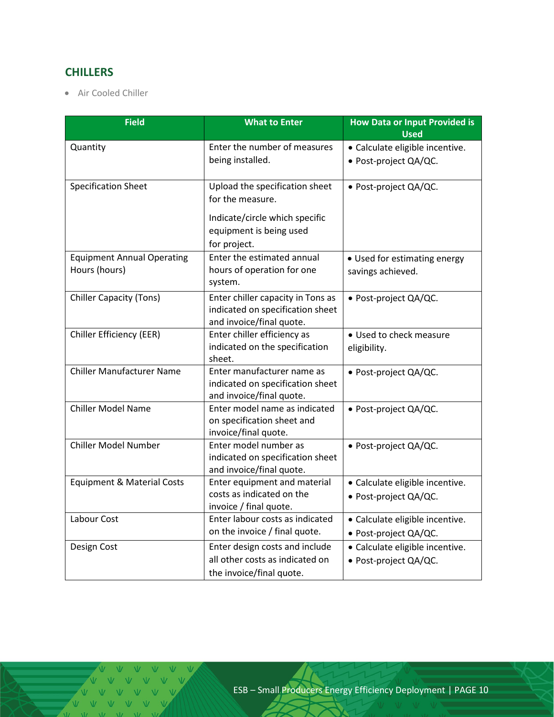## <span id="page-9-0"></span>**CHILLERS**

• Air Cooled Chiller

| <b>Field</b>                          | <b>What to Enter</b>                          | <b>How Data or Input Provided is</b><br><b>Used</b> |
|---------------------------------------|-----------------------------------------------|-----------------------------------------------------|
|                                       | Enter the number of measures                  |                                                     |
| Quantity                              |                                               | · Calculate eligible incentive.                     |
|                                       | being installed.                              | · Post-project QA/QC.                               |
| <b>Specification Sheet</b>            | Upload the specification sheet                | · Post-project QA/QC.                               |
|                                       | for the measure.                              |                                                     |
|                                       | Indicate/circle which specific                |                                                     |
|                                       | equipment is being used                       |                                                     |
|                                       | for project.                                  |                                                     |
| <b>Equipment Annual Operating</b>     | Enter the estimated annual                    | • Used for estimating energy                        |
| Hours (hours)                         | hours of operation for one                    | savings achieved.                                   |
|                                       | system.                                       |                                                     |
| <b>Chiller Capacity (Tons)</b>        | Enter chiller capacity in Tons as             | · Post-project QA/QC.                               |
|                                       | indicated on specification sheet              |                                                     |
|                                       | and invoice/final quote.                      |                                                     |
| Chiller Efficiency (EER)              | Enter chiller efficiency as                   | • Used to check measure                             |
|                                       | indicated on the specification                | eligibility.                                        |
|                                       | sheet.                                        |                                                     |
| <b>Chiller Manufacturer Name</b>      | Enter manufacturer name as                    | · Post-project QA/QC.                               |
|                                       | indicated on specification sheet              |                                                     |
|                                       | and invoice/final quote.                      |                                                     |
| <b>Chiller Model Name</b>             | Enter model name as indicated                 | · Post-project QA/QC.                               |
|                                       | on specification sheet and                    |                                                     |
| <b>Chiller Model Number</b>           | invoice/final quote.<br>Enter model number as |                                                     |
|                                       | indicated on specification sheet              | · Post-project QA/QC.                               |
|                                       | and invoice/final quote.                      |                                                     |
| <b>Equipment &amp; Material Costs</b> | Enter equipment and material                  | · Calculate eligible incentive.                     |
|                                       | costs as indicated on the                     | · Post-project QA/QC.                               |
|                                       | invoice / final quote.                        |                                                     |
| Labour Cost                           | Enter labour costs as indicated               | · Calculate eligible incentive.                     |
|                                       | on the invoice / final quote.                 | · Post-project QA/QC.                               |
| Design Cost                           | Enter design costs and include                | · Calculate eligible incentive.                     |
|                                       | all other costs as indicated on               | · Post-project QA/QC.                               |
|                                       | the invoice/final quote.                      |                                                     |

 $\overline{M}$   $\overline{M}$   $\overline{M}$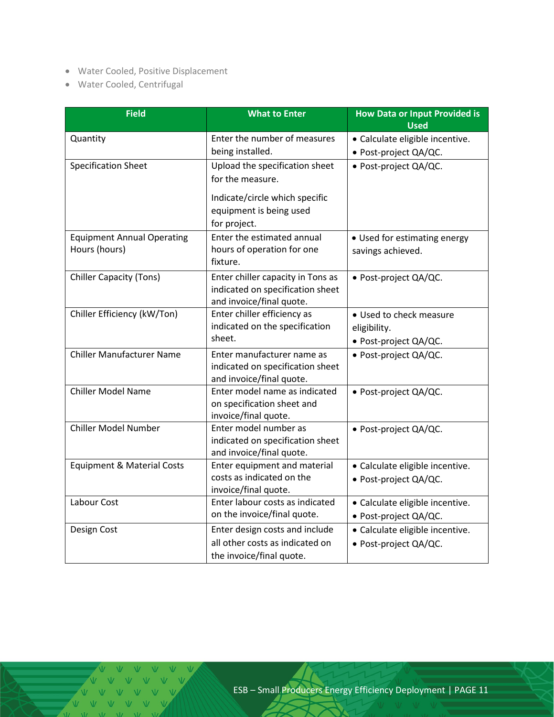- Water Cooled, Positive Displacement
- Water Cooled, Centrifugal

| <b>Field</b>                          | <b>What to Enter</b>                               | <b>How Data or Input Provided is</b><br><b>Used</b> |
|---------------------------------------|----------------------------------------------------|-----------------------------------------------------|
| Quantity                              | Enter the number of measures                       | • Calculate eligible incentive.                     |
|                                       | being installed.                                   | · Post-project QA/QC.                               |
|                                       |                                                    |                                                     |
| <b>Specification Sheet</b>            | Upload the specification sheet<br>for the measure. | · Post-project QA/QC.                               |
|                                       |                                                    |                                                     |
|                                       | Indicate/circle which specific                     |                                                     |
|                                       | equipment is being used                            |                                                     |
|                                       | for project.                                       |                                                     |
| <b>Equipment Annual Operating</b>     | Enter the estimated annual                         | • Used for estimating energy                        |
| Hours (hours)                         | hours of operation for one                         | savings achieved.                                   |
|                                       | fixture.                                           |                                                     |
| <b>Chiller Capacity (Tons)</b>        | Enter chiller capacity in Tons as                  | · Post-project QA/QC.                               |
|                                       | indicated on specification sheet                   |                                                     |
|                                       | and invoice/final quote.                           |                                                     |
| Chiller Efficiency (kW/Ton)           | Enter chiller efficiency as                        | · Used to check measure                             |
|                                       | indicated on the specification                     | eligibility.                                        |
|                                       | sheet.                                             | · Post-project QA/QC.                               |
| <b>Chiller Manufacturer Name</b>      | Enter manufacturer name as                         | · Post-project QA/QC.                               |
|                                       | indicated on specification sheet                   |                                                     |
|                                       | and invoice/final quote.                           |                                                     |
| <b>Chiller Model Name</b>             | Enter model name as indicated                      | · Post-project QA/QC.                               |
|                                       | on specification sheet and                         |                                                     |
| <b>Chiller Model Number</b>           | invoice/final quote.<br>Enter model number as      |                                                     |
|                                       | indicated on specification sheet                   | · Post-project QA/QC.                               |
|                                       | and invoice/final quote.                           |                                                     |
| <b>Equipment &amp; Material Costs</b> | Enter equipment and material                       | · Calculate eligible incentive.                     |
|                                       | costs as indicated on the                          | · Post-project QA/QC.                               |
|                                       | invoice/final quote.                               |                                                     |
| Labour Cost                           | Enter labour costs as indicated                    | · Calculate eligible incentive.                     |
|                                       | on the invoice/final quote.                        | · Post-project QA/QC.                               |
| Design Cost                           | Enter design costs and include                     | · Calculate eligible incentive.                     |
|                                       | all other costs as indicated on                    | · Post-project QA/QC.                               |
|                                       | the invoice/final quote.                           |                                                     |

 $M = W - W$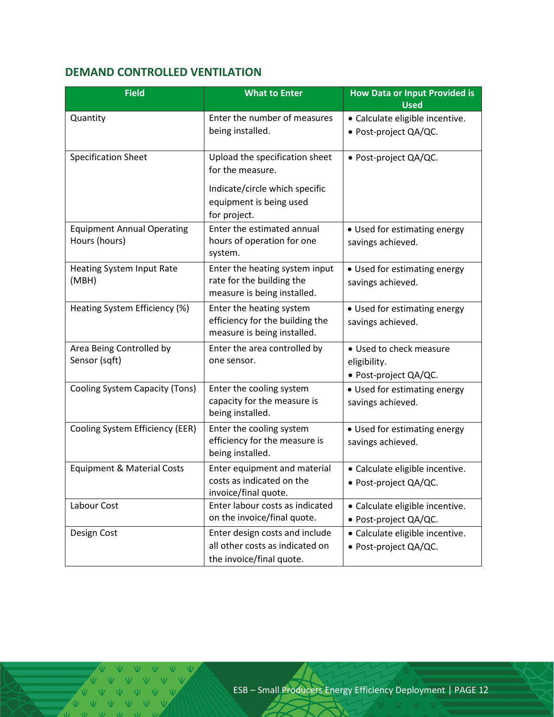## <span id="page-11-0"></span>**DEMAND CONTROLLED VENTILATION**

| <b>Field</b>                                       | <b>What to Enter</b>                                                                                                            | <b>How Data or Input Provided is</b><br><b>Used</b>              |
|----------------------------------------------------|---------------------------------------------------------------------------------------------------------------------------------|------------------------------------------------------------------|
| Quantity                                           | Enter the number of measures<br>being installed.                                                                                | · Calculate eligible incentive.<br>· Post-project QA/QC.         |
| <b>Specification Sheet</b>                         | Upload the specification sheet<br>for the measure.<br>Indicate/circle which specific<br>equipment is being used<br>for project. | • Post-project QA/QC.                                            |
| <b>Equipment Annual Operating</b><br>Hours (hours) | Enter the estimated annual<br>hours of operation for one<br>system.                                                             | • Used for estimating energy<br>savings achieved.                |
| Heating System Input Rate<br>(MBH)                 | Enter the heating system input<br>rate for the building the<br>measure is being installed.                                      | • Used for estimating energy<br>savings achieved.                |
| Heating System Efficiency (%)                      | Enter the heating system<br>efficiency for the building the<br>measure is being installed.                                      | • Used for estimating energy<br>savings achieved.                |
| Area Being Controlled by<br>Sensor (sqft)          | Enter the area controlled by<br>one sensor.                                                                                     | • Used to check measure<br>eligibility.<br>• Post-project QA/QC. |
| Cooling System Capacity (Tons)                     | Enter the cooling system<br>capacity for the measure is<br>being installed.                                                     | • Used for estimating energy<br>savings achieved.                |
| Cooling System Efficiency (EER)                    | Enter the cooling system<br>efficiency for the measure is<br>being installed.                                                   | • Used for estimating energy<br>savings achieved.                |
| <b>Equipment &amp; Material Costs</b>              | Enter equipment and material<br>costs as indicated on the<br>invoice/final quote.                                               | · Calculate eligible incentive.<br>· Post-project QA/QC.         |
| Labour Cost                                        | Enter labour costs as indicated<br>on the invoice/final quote.                                                                  | • Calculate eligible incentive.<br>• Post-project QA/QC.         |
| Design Cost                                        | Enter design costs and include<br>all other costs as indicated on<br>the invoice/final quote.                                   | · Calculate eligible incentive.<br>· Post-project QA/QC.         |

V V V V V V V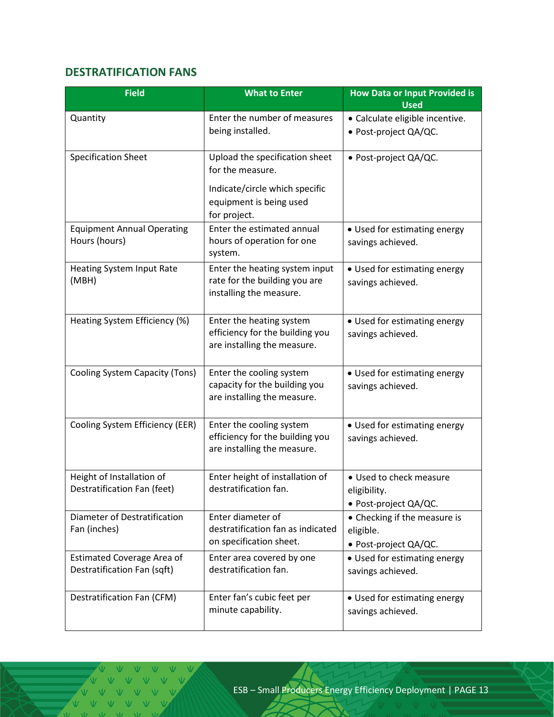## <span id="page-12-0"></span>**DESTRATIFICATION FANS**

| <b>Field</b>                                                     | <b>What to Enter</b>                                                                                  | <b>How Data or Input Provided is</b><br><b>Used</b>                |
|------------------------------------------------------------------|-------------------------------------------------------------------------------------------------------|--------------------------------------------------------------------|
| Quantity                                                         | Enter the number of measures                                                                          | · Calculate eligible incentive.                                    |
|                                                                  | being installed.                                                                                      | · Post-project QA/QC.                                              |
| <b>Specification Sheet</b>                                       | Upload the specification sheet<br>for the measure.                                                    | · Post-project QA/QC.                                              |
|                                                                  | Indicate/circle which specific<br>equipment is being used<br>for project.                             |                                                                    |
| <b>Equipment Annual Operating</b><br>Hours (hours)               | Enter the estimated annual<br>hours of operation for one                                              | • Used for estimating energy<br>savings achieved.                  |
| Heating System Input Rate<br>(MBH)                               | system.<br>Enter the heating system input<br>rate for the building you are<br>installing the measure. | • Used for estimating energy<br>savings achieved.                  |
| Heating System Efficiency (%)                                    | Enter the heating system<br>efficiency for the building you<br>are installing the measure.            | • Used for estimating energy<br>savings achieved.                  |
| Cooling System Capacity (Tons)                                   | Enter the cooling system<br>capacity for the building you<br>are installing the measure.              | • Used for estimating energy<br>savings achieved.                  |
| Cooling System Efficiency (EER)                                  | Enter the cooling system<br>efficiency for the building you<br>are installing the measure.            | • Used for estimating energy<br>savings achieved.                  |
| Height of Installation of<br>Destratification Fan (feet)         | Enter height of installation of<br>destratification fan.                                              | · Used to check measure<br>eligibility.<br>• Post-project QA/QC.   |
| Diameter of Destratification<br>Fan (inches)                     | Enter diameter of<br>destratification fan as indicated<br>on specification sheet.                     | • Checking if the measure is<br>eligible.<br>• Post-project QA/QC. |
| <b>Estimated Coverage Area of</b><br>Destratification Fan (sqft) | Enter area covered by one<br>destratification fan.                                                    | • Used for estimating energy<br>savings achieved.                  |
| Destratification Fan (CFM)                                       | Enter fan's cubic feet per<br>minute capability.                                                      | • Used for estimating energy<br>savings achieved.                  |

V V V V V V VVVV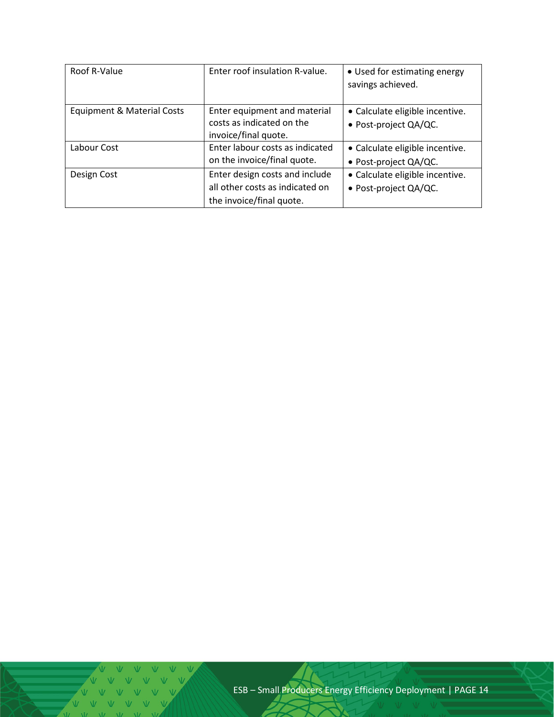| Roof R-Value               | Enter roof insulation R-value.                    | • Used for estimating energy<br>savings achieved. |
|----------------------------|---------------------------------------------------|---------------------------------------------------|
| Equipment & Material Costs | Enter equipment and material                      | • Calculate eligible incentive.                   |
|                            | costs as indicated on the<br>invoice/final quote. | • Post-project QA/QC.                             |
| Labour Cost                | Enter labour costs as indicated                   | • Calculate eligible incentive.                   |
|                            | on the invoice/final quote.                       | • Post-project QA/QC.                             |
| Design Cost                | Enter design costs and include                    | • Calculate eligible incentive.                   |
|                            | all other costs as indicated on                   | · Post-project QA/QC.                             |
|                            | the invoice/final quote.                          |                                                   |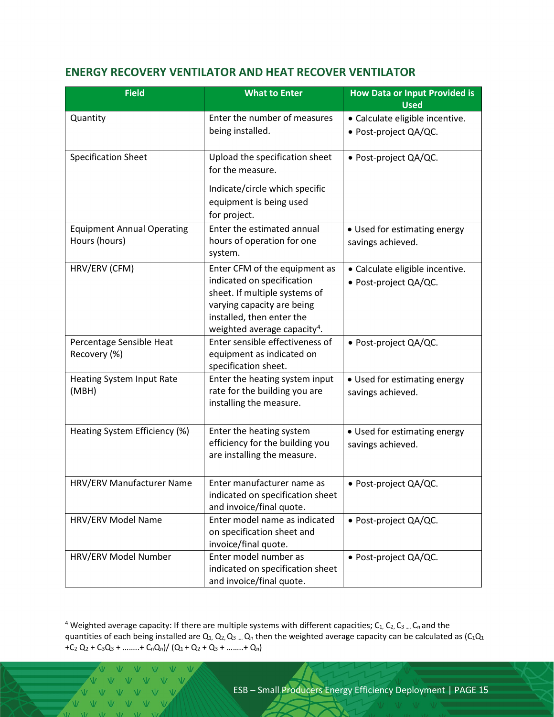#### <span id="page-14-0"></span>**ENERGY RECOVERY VENTILATOR AND HEAT RECOVER VENTILATOR**

| <b>Field</b>                                       | <b>What to Enter</b>                                                                                                                                                                                | <b>How Data or Input Provided is</b><br><b>Used</b>      |  |
|----------------------------------------------------|-----------------------------------------------------------------------------------------------------------------------------------------------------------------------------------------------------|----------------------------------------------------------|--|
| Quantity                                           | Enter the number of measures<br>being installed.                                                                                                                                                    | · Calculate eligible incentive.<br>· Post-project QA/QC. |  |
| <b>Specification Sheet</b>                         | Upload the specification sheet<br>for the measure.<br>Indicate/circle which specific<br>equipment is being used<br>for project.                                                                     | · Post-project QA/QC.                                    |  |
| <b>Equipment Annual Operating</b><br>Hours (hours) | Enter the estimated annual<br>hours of operation for one<br>system.                                                                                                                                 | • Used for estimating energy<br>savings achieved.        |  |
| HRV/ERV (CFM)                                      | Enter CFM of the equipment as<br>indicated on specification<br>sheet. If multiple systems of<br>varying capacity are being<br>installed, then enter the<br>weighted average capacity <sup>4</sup> . | · Calculate eligible incentive.<br>· Post-project QA/QC. |  |
| Percentage Sensible Heat<br>Recovery (%)           | Enter sensible effectiveness of<br>equipment as indicated on<br>specification sheet.                                                                                                                | · Post-project QA/QC.                                    |  |
| Heating System Input Rate<br>(MBH)                 | Enter the heating system input<br>rate for the building you are<br>installing the measure.                                                                                                          | • Used for estimating energy<br>savings achieved.        |  |
| Heating System Efficiency (%)                      | Enter the heating system<br>efficiency for the building you<br>are installing the measure.                                                                                                          | • Used for estimating energy<br>savings achieved.        |  |
| HRV/ERV Manufacturer Name                          | Enter manufacturer name as<br>indicated on specification sheet<br>and invoice/final quote.                                                                                                          | • Post-project QA/QC.                                    |  |
| HRV/ERV Model Name                                 | Enter model name as indicated<br>on specification sheet and<br>invoice/final quote.                                                                                                                 | · Post-project QA/QC.                                    |  |
| HRV/ERV Model Number                               | Enter model number as<br>indicated on specification sheet<br>and invoice/final quote.                                                                                                               | · Post-project QA/QC.                                    |  |

<span id="page-14-1"></span><sup>4</sup> Weighted average capacity: If there are multiple systems with different capacities;  $C_1$ ,  $C_2$ ,  $C_3$  ....  $C_n$  and the quantities of each being installed are  $Q_1$ ,  $Q_2$ ,  $Q_3$  ....  $Q_n$  then the weighted average capacity can be calculated as  $(C_1Q_1)$ +C<sub>2</sub> Q<sub>2</sub> + C<sub>3</sub>Q<sub>3</sub> + ……..+ C<sub>n</sub>Q<sub>n</sub>)/ (Q<sub>1</sub> + Q<sub>2</sub> + Q<sub>3</sub> + ……..+ Q<sub>n</sub>)

V V V V V V V V V V VVVV  $\overline{M}$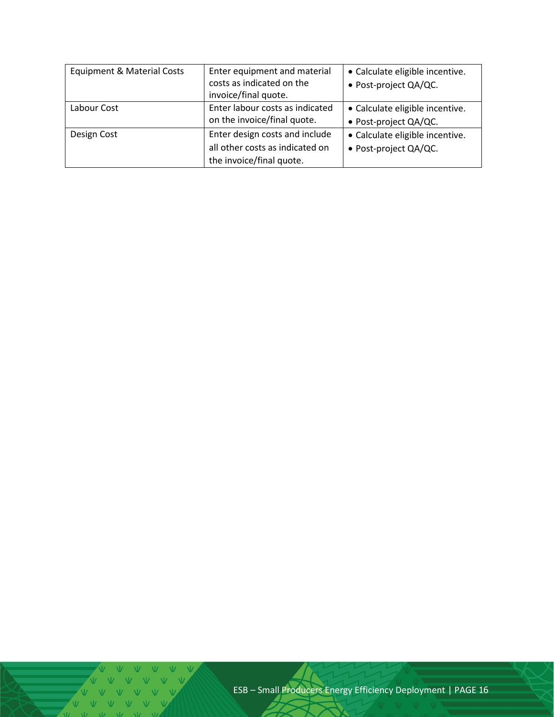| <b>Equipment &amp; Material Costs</b> | Enter equipment and material<br>costs as indicated on the<br>invoice/final quote.             | • Calculate eligible incentive.<br>· Post-project QA/QC. |
|---------------------------------------|-----------------------------------------------------------------------------------------------|----------------------------------------------------------|
| Labour Cost                           | Enter labour costs as indicated<br>on the invoice/final quote.                                | • Calculate eligible incentive.<br>· Post-project QA/QC. |
| Design Cost                           | Enter design costs and include<br>all other costs as indicated on<br>the invoice/final quote. | • Calculate eligible incentive.<br>· Post-project QA/QC. |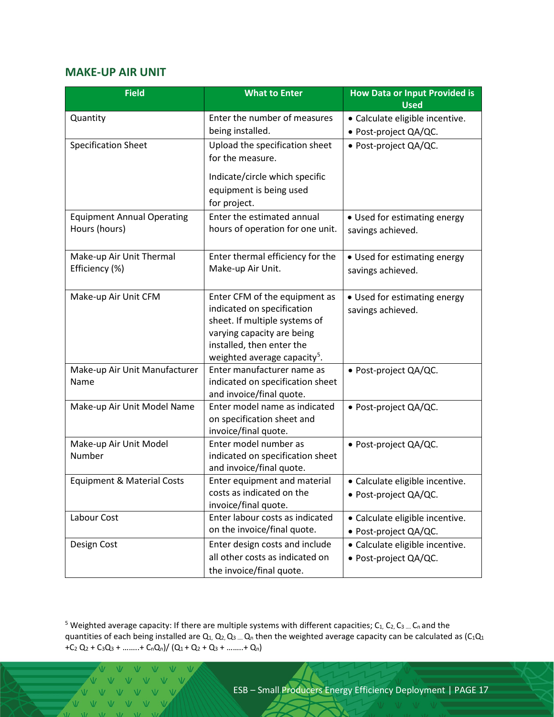#### <span id="page-16-0"></span>**MAKE-UP AIR UNIT**

| <b>Field</b>                          | <b>What to Enter</b>                                        | <b>How Data or Input Provided is</b><br><b>Used</b> |  |
|---------------------------------------|-------------------------------------------------------------|-----------------------------------------------------|--|
| Quantity                              | Enter the number of measures                                | · Calculate eligible incentive.                     |  |
|                                       | being installed.                                            | · Post-project QA/QC.                               |  |
| <b>Specification Sheet</b>            | Upload the specification sheet                              | · Post-project QA/QC.                               |  |
|                                       | for the measure.                                            |                                                     |  |
|                                       | Indicate/circle which specific                              |                                                     |  |
|                                       | equipment is being used                                     |                                                     |  |
|                                       | for project.                                                |                                                     |  |
| <b>Equipment Annual Operating</b>     | Enter the estimated annual                                  | • Used for estimating energy                        |  |
| Hours (hours)                         | hours of operation for one unit.                            | savings achieved.                                   |  |
|                                       |                                                             |                                                     |  |
| Make-up Air Unit Thermal              | Enter thermal efficiency for the                            | • Used for estimating energy                        |  |
| Efficiency (%)                        | Make-up Air Unit.                                           | savings achieved.                                   |  |
|                                       |                                                             |                                                     |  |
| Make-up Air Unit CFM                  | Enter CFM of the equipment as                               | • Used for estimating energy                        |  |
|                                       | indicated on specification<br>sheet. If multiple systems of | savings achieved.                                   |  |
|                                       | varying capacity are being                                  |                                                     |  |
|                                       | installed, then enter the                                   |                                                     |  |
|                                       | weighted average capacity <sup>5</sup> .                    |                                                     |  |
| Make-up Air Unit Manufacturer         | Enter manufacturer name as                                  | · Post-project QA/QC.                               |  |
| Name                                  | indicated on specification sheet                            |                                                     |  |
|                                       | and invoice/final quote.                                    |                                                     |  |
| Make-up Air Unit Model Name           | Enter model name as indicated                               | · Post-project QA/QC.                               |  |
|                                       | on specification sheet and<br>invoice/final quote.          |                                                     |  |
| Make-up Air Unit Model                | Enter model number as                                       | · Post-project QA/QC.                               |  |
| Number                                | indicated on specification sheet                            |                                                     |  |
|                                       | and invoice/final quote.                                    |                                                     |  |
| <b>Equipment &amp; Material Costs</b> | Enter equipment and material                                | · Calculate eligible incentive.                     |  |
|                                       | costs as indicated on the                                   | · Post-project QA/QC.                               |  |
|                                       | invoice/final quote.                                        |                                                     |  |
| Labour Cost                           | Enter labour costs as indicated                             | • Calculate eligible incentive.                     |  |
|                                       | on the invoice/final quote.                                 | · Post-project QA/QC.                               |  |
| Design Cost                           | Enter design costs and include                              | • Calculate eligible incentive.                     |  |
|                                       | all other costs as indicated on                             | · Post-project QA/QC.                               |  |
|                                       | the invoice/final quote.                                    |                                                     |  |

<span id="page-16-1"></span><sup>5</sup> Weighted average capacity: If there are multiple systems with different capacities;  $C_1$ ,  $C_2$ ,  $C_3$  ....  $C_n$  and the quantities of each being installed are  $Q_1$ ,  $Q_2$ ,  $Q_3$  ....  $Q_n$  then the weighted average capacity can be calculated as  $(C_1Q_1)$ +C<sub>2</sub> Q<sub>2</sub> + C<sub>3</sub>Q<sub>3</sub> + ……..+ C<sub>n</sub>Q<sub>n</sub>)/ (Q<sub>1</sub> + Q<sub>2</sub> + Q<sub>3</sub> + ……..+ Q<sub>n</sub>)

V V V V V V V V V V Ŵ  $V$   $V$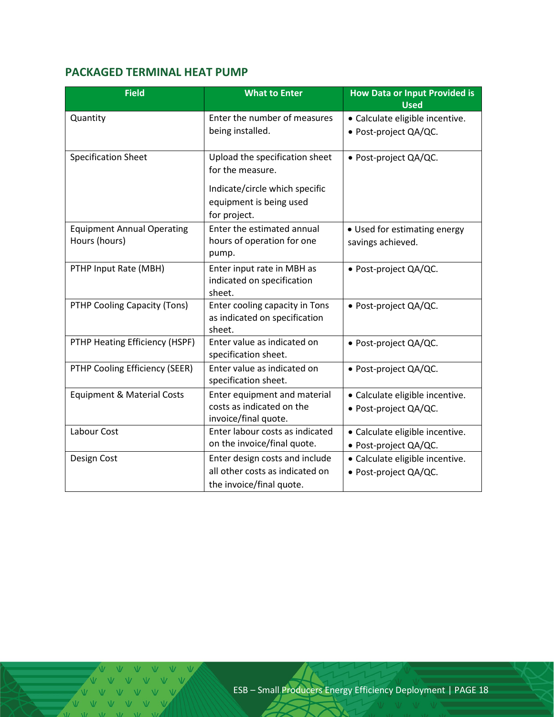## <span id="page-17-0"></span>**PACKAGED TERMINAL HEAT PUMP**

| <b>Field</b>                          | <b>What to Enter</b>                              | <b>How Data or Input Provided is</b><br><b>Used</b> |  |
|---------------------------------------|---------------------------------------------------|-----------------------------------------------------|--|
| Quantity                              | Enter the number of measures                      | · Calculate eligible incentive.                     |  |
|                                       | being installed.                                  | · Post-project QA/QC.                               |  |
| <b>Specification Sheet</b>            | Upload the specification sheet                    | · Post-project QA/QC.                               |  |
|                                       | for the measure.                                  |                                                     |  |
|                                       | Indicate/circle which specific                    |                                                     |  |
|                                       | equipment is being used                           |                                                     |  |
|                                       | for project.                                      |                                                     |  |
| <b>Equipment Annual Operating</b>     | Enter the estimated annual                        | • Used for estimating energy                        |  |
| Hours (hours)                         | hours of operation for one<br>pump.               | savings achieved.                                   |  |
| PTHP Input Rate (MBH)                 | Enter input rate in MBH as                        | · Post-project QA/QC.                               |  |
|                                       | indicated on specification                        |                                                     |  |
| PTHP Cooling Capacity (Tons)          | sheet.<br>Enter cooling capacity in Tons          |                                                     |  |
|                                       | as indicated on specification                     | · Post-project QA/QC.                               |  |
|                                       | sheet.                                            |                                                     |  |
| PTHP Heating Efficiency (HSPF)        | Enter value as indicated on                       | · Post-project QA/QC.                               |  |
|                                       | specification sheet.                              |                                                     |  |
| PTHP Cooling Efficiency (SEER)        | Enter value as indicated on                       | · Post-project QA/QC.                               |  |
|                                       | specification sheet.                              |                                                     |  |
| <b>Equipment &amp; Material Costs</b> | Enter equipment and material                      | · Calculate eligible incentive.                     |  |
|                                       | costs as indicated on the<br>invoice/final quote. | · Post-project QA/QC.                               |  |
| Labour Cost                           | Enter labour costs as indicated                   | · Calculate eligible incentive.                     |  |
|                                       | on the invoice/final quote.                       | · Post-project QA/QC.                               |  |
| Design Cost                           | Enter design costs and include                    | · Calculate eligible incentive.                     |  |
|                                       | all other costs as indicated on                   | · Post-project QA/QC.                               |  |
|                                       | the invoice/final quote.                          |                                                     |  |

 $V = M - W$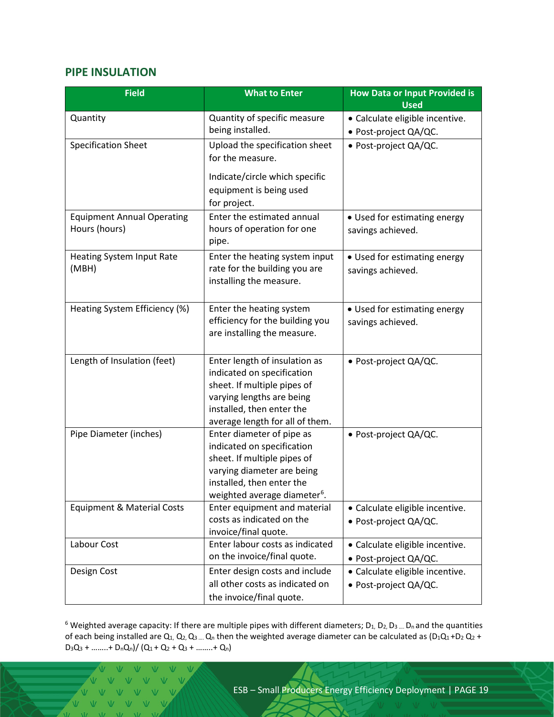#### <span id="page-18-0"></span>**PIPE INSULATION**

| <b>Field</b>                                       | <b>What to Enter</b>                                                                                                                                                                          | <b>How Data or Input Provided is</b><br><b>Used</b>      |  |  |
|----------------------------------------------------|-----------------------------------------------------------------------------------------------------------------------------------------------------------------------------------------------|----------------------------------------------------------|--|--|
| Quantity                                           | Quantity of specific measure<br>being installed.                                                                                                                                              | · Calculate eligible incentive.<br>· Post-project QA/QC. |  |  |
| <b>Specification Sheet</b>                         | Upload the specification sheet<br>for the measure.                                                                                                                                            | · Post-project QA/QC.                                    |  |  |
|                                                    | Indicate/circle which specific<br>equipment is being used<br>for project.                                                                                                                     |                                                          |  |  |
| <b>Equipment Annual Operating</b><br>Hours (hours) | Enter the estimated annual<br>• Used for estimating energy<br>hours of operation for one<br>savings achieved.<br>pipe.                                                                        |                                                          |  |  |
| <b>Heating System Input Rate</b><br>(MBH)          | Enter the heating system input<br>rate for the building you are<br>installing the measure.                                                                                                    | • Used for estimating energy<br>savings achieved.        |  |  |
| Heating System Efficiency (%)                      | Enter the heating system<br>efficiency for the building you<br>are installing the measure.                                                                                                    | • Used for estimating energy<br>savings achieved.        |  |  |
| Length of Insulation (feet)                        | Enter length of insulation as<br>indicated on specification<br>sheet. If multiple pipes of<br>varying lengths are being<br>installed, then enter the<br>average length for all of them.       | · Post-project QA/QC.                                    |  |  |
| Pipe Diameter (inches)                             | Enter diameter of pipe as<br>indicated on specification<br>sheet. If multiple pipes of<br>varying diameter are being<br>installed, then enter the<br>weighted average diameter <sup>6</sup> . | · Post-project QA/QC.                                    |  |  |
| Equipment & Material Costs                         | Enter equipment and material<br>• Calculate eligible incentive.<br>costs as indicated on the<br>· Post-project QA/QC.<br>invoice/final quote.                                                 |                                                          |  |  |
| Labour Cost                                        | Enter labour costs as indicated<br>• Calculate eligible incentive.<br>on the invoice/final quote.<br>· Post-project QA/QC.                                                                    |                                                          |  |  |
| Design Cost                                        | Enter design costs and include<br>all other costs as indicated on<br>the invoice/final quote.                                                                                                 | · Calculate eligible incentive.<br>· Post-project QA/QC. |  |  |

<span id="page-18-1"></span> $6$  Weighted average capacity: If there are multiple pipes with different diameters;  $D_1$ ,  $D_2$ ,  $D_3$  .... Dn and the quantities of each being installed are  $Q_1$ ,  $Q_2$ ,  $Q_3$  ....  $Q_n$  then the weighted average diameter can be calculated as (D<sub>1</sub>Q<sub>1</sub> +D<sub>2</sub> Q<sub>2</sub> +  $D_3Q_3 + \ldots + D_nQ_n)/ (Q_1 + Q_2 + Q_3 + \ldots + Q_n)$ 

V V V V V  $V = W - W - W$  $V$   $V$   $V$  $\overline{V}$  $\overline{M}$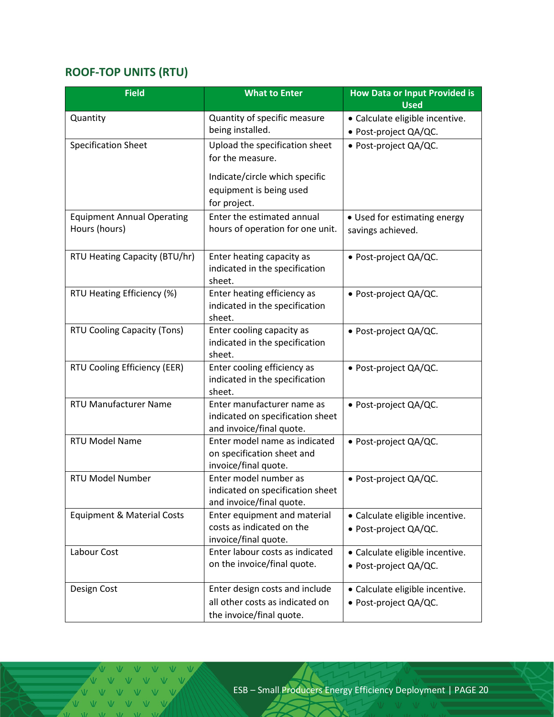## <span id="page-19-0"></span>**ROOF-TOP UNITS (RTU)**

| <b>Field</b>                      | <b>What to Enter</b>                                          | <b>How Data or Input Provided is</b><br><b>Used</b> |  |
|-----------------------------------|---------------------------------------------------------------|-----------------------------------------------------|--|
| Quantity                          | Quantity of specific measure                                  | · Calculate eligible incentive.                     |  |
|                                   | being installed.                                              | · Post-project QA/QC.                               |  |
| <b>Specification Sheet</b>        | Upload the specification sheet                                | · Post-project QA/QC.                               |  |
|                                   | for the measure.                                              |                                                     |  |
|                                   | Indicate/circle which specific                                |                                                     |  |
|                                   | equipment is being used                                       |                                                     |  |
|                                   | for project.                                                  |                                                     |  |
| <b>Equipment Annual Operating</b> | Enter the estimated annual                                    | • Used for estimating energy                        |  |
| Hours (hours)                     | hours of operation for one unit.                              | savings achieved.                                   |  |
|                                   |                                                               |                                                     |  |
| RTU Heating Capacity (BTU/hr)     | Enter heating capacity as                                     | · Post-project QA/QC.                               |  |
|                                   | indicated in the specification<br>sheet.                      |                                                     |  |
| RTU Heating Efficiency (%)        | Enter heating efficiency as                                   | · Post-project QA/QC.                               |  |
|                                   | indicated in the specification                                |                                                     |  |
|                                   | sheet.                                                        |                                                     |  |
| RTU Cooling Capacity (Tons)       | Enter cooling capacity as                                     | · Post-project QA/QC.                               |  |
|                                   | indicated in the specification                                |                                                     |  |
|                                   | sheet.                                                        |                                                     |  |
| RTU Cooling Efficiency (EER)      | Enter cooling efficiency as<br>indicated in the specification | · Post-project QA/QC.                               |  |
|                                   | sheet.                                                        |                                                     |  |
| <b>RTU Manufacturer Name</b>      | Enter manufacturer name as                                    | · Post-project QA/QC.                               |  |
|                                   | indicated on specification sheet                              |                                                     |  |
|                                   | and invoice/final quote.                                      |                                                     |  |
| RTU Model Name                    | Enter model name as indicated                                 | · Post-project QA/QC.                               |  |
|                                   | on specification sheet and<br>invoice/final quote.            |                                                     |  |
| <b>RTU Model Number</b>           | Enter model number as                                         | • Post-project QA/QC.                               |  |
|                                   | indicated on specification sheet                              |                                                     |  |
|                                   | and invoice/final quote.                                      |                                                     |  |
| Equipment & Material Costs        | Enter equipment and material                                  | · Calculate eligible incentive.                     |  |
|                                   | costs as indicated on the                                     | · Post-project QA/QC.                               |  |
| Labour Cost                       | invoice/final quote.<br>Enter labour costs as indicated       |                                                     |  |
|                                   | on the invoice/final quote.                                   | · Calculate eligible incentive.                     |  |
|                                   |                                                               | · Post-project QA/QC.                               |  |
| Design Cost                       | Enter design costs and include                                | · Calculate eligible incentive.                     |  |
|                                   | all other costs as indicated on                               | · Post-project QA/QC.                               |  |
|                                   | the invoice/final quote.                                      |                                                     |  |

 $\sqrt{2}$   $\sqrt{2}$   $\sqrt{2}$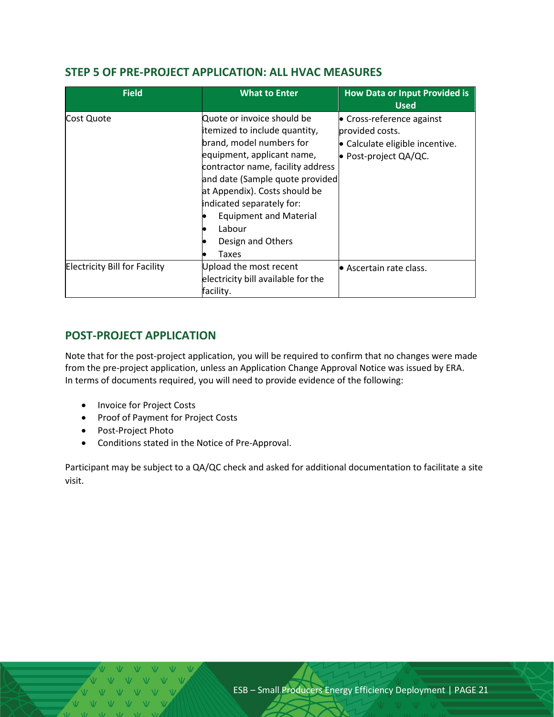#### <span id="page-20-0"></span>**STEP 5 OF PRE-PROJECT APPLICATION: ALL HVAC MEASURES**

| <b>Field</b>                         | <b>What to Enter</b>                                                                                                                                                                                                                                                                                                                 | <b>How Data or Input Provided is</b><br><b>Used</b>                                                      |  |
|--------------------------------------|--------------------------------------------------------------------------------------------------------------------------------------------------------------------------------------------------------------------------------------------------------------------------------------------------------------------------------------|----------------------------------------------------------------------------------------------------------|--|
| Cost Quote                           | Quote or invoice should be<br>itemized to include quantity,<br>brand, model numbers for<br>equipment, applicant name,<br>contractor name, facility address<br>and date (Sample quote provided<br>at Appendix). Costs should be<br>indicated separately for:<br><b>Equipment and Material</b><br>Labour<br>Design and Others<br>Taxes | • Cross-reference against<br>provided costs.<br>• Calculate eligible incentive.<br>• Post-project QA/QC. |  |
| <b>Electricity Bill for Facility</b> | Upload the most recent<br>electricity bill available for the<br>facility.                                                                                                                                                                                                                                                            | l● Ascertain rate class.                                                                                 |  |

### <span id="page-20-1"></span>**POST-PROJECT APPLICATION**

Note that for the post-project application, you will be required to confirm that no changes were made from the pre-project application, unless an Application Change Approval Notice was issued by ERA. In terms of documents required, you will need to provide evidence of the following:

- Invoice for Project Costs
- Proof of Payment for Project Costs
- Post-Project Photo
- Conditions stated in the Notice of Pre-Approval.

Participant may be subject to a QA/QC check and asked for additional documentation to facilitate a site visit.